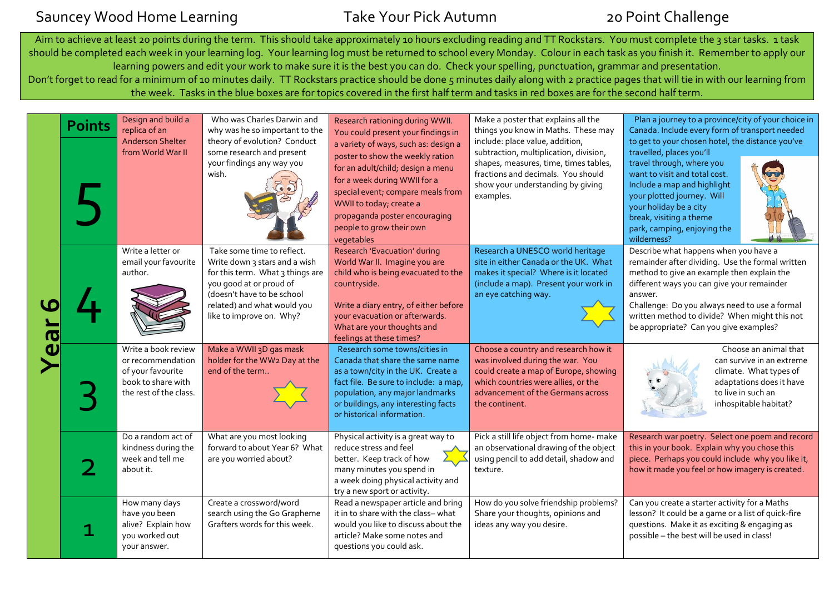## Sauncey Wood Home Learning Take Your Pick Autumn 20 Point Challenge

Aim to achieve at least 20 points during the term. This should take approximately 10 hours excluding reading and TT Rockstars. You must complete the 3 star tasks. 1 task should be completed each week in your learning log. Your learning log must be returned to school every Monday. Colour in each task as you finish it. Remember to apply our learning powers and edit your work to make sure it is the best you can do. Check your spelling, punctuation, grammar and presentation. Don't forget to read for a minimum of 10 minutes daily. TT Rockstars practice should be done 5 minutes daily along with 2 practice pages that will tie in with our learning from the week. Tasks in the blue boxes are for topics covered in the first half term and tasks in red boxes are for the second half term.

| <b>Points</b> | Design and build a<br>replica of an<br><b>Anderson Shelter</b><br>from World War II                           | Who was Charles Darwin and<br>why was he so important to the<br>theory of evolution? Conduct<br>some research and present<br>your findings any way you<br>wish.                                                     | Research rationing during WWII.<br>You could present your findings in<br>a variety of ways, such as: design a<br>poster to show the weekly ration<br>for an adult/child; design a menu<br>for a week during WWII for a<br>special event; compare meals from<br>WWII to today; create a<br>propaganda poster encouraging<br>people to grow their own<br>vegetables | Make a poster that explains all the<br>things you know in Maths. These may<br>include: place value, addition,<br>subtraction, multiplication, division,<br>shapes, measures, time, times tables,<br>fractions and decimals. You should<br>show your understanding by giving<br>examples. | Plan a journey to a province/city of your choice in<br>Canada. Include every form of transport needed<br>to get to your chosen hotel, the distance you've<br>travelled, places you'll<br>travel through, where you<br>want to visit and total cost.<br>Include a map and highlight<br>your plotted journey. Will<br>your holiday be a city<br>break, visiting a theme<br>park, camping, enjoying the<br>wilderness? |
|---------------|---------------------------------------------------------------------------------------------------------------|---------------------------------------------------------------------------------------------------------------------------------------------------------------------------------------------------------------------|-------------------------------------------------------------------------------------------------------------------------------------------------------------------------------------------------------------------------------------------------------------------------------------------------------------------------------------------------------------------|------------------------------------------------------------------------------------------------------------------------------------------------------------------------------------------------------------------------------------------------------------------------------------------|---------------------------------------------------------------------------------------------------------------------------------------------------------------------------------------------------------------------------------------------------------------------------------------------------------------------------------------------------------------------------------------------------------------------|
|               | Write a letter or<br>email your favourite<br>author.                                                          | Take some time to reflect.<br>Write down 3 stars and a wish<br>for this term. What 3 things are<br>you good at or proud of<br>(doesn't have to be school<br>related) and what would you<br>like to improve on. Why? | Research 'Evacuation' during<br>World War II. Imagine you are<br>child who is being evacuated to the<br>countryside.<br>Write a diary entry, of either before<br>your evacuation or afterwards.<br>What are your thoughts and<br>feelings at these times?                                                                                                         | Research a UNESCO world heritage<br>site in either Canada or the UK. What<br>makes it special? Where is it located<br>(include a map). Present your work in<br>an eye catching way.                                                                                                      | Describe what happens when you have a<br>remainder after dividing. Use the formal written<br>method to give an example then explain the<br>different ways you can give your remainder<br>answer.<br>Challenge: Do you always need to use a formal<br>written method to divide? When might this not<br>be appropriate? Can you give examples?                                                                        |
|               | Write a book review<br>or recommendation<br>of your favourite<br>book to share with<br>the rest of the class. | Make a WWII 3D gas mask<br>holder for the WW2 Day at the<br>end of the term                                                                                                                                         | Research some towns/cities in<br>Canada that share the same name<br>as a town/city in the UK. Create a<br>fact file. Be sure to include: a map,<br>population, any major landmarks<br>or buildings, any interesting facts<br>or historical information.                                                                                                           | Choose a country and research how it<br>was involved during the war. You<br>could create a map of Europe, showing<br>which countries were allies, or the<br>advancement of the Germans across<br>the continent.                                                                          | Choose an animal that<br>can survive in an extreme<br>climate. What types of<br>adaptations does it have<br>to live in such an<br>inhospitable habitat?                                                                                                                                                                                                                                                             |
|               | Do a random act of<br>kindness during the<br>week and tell me<br>about it.                                    | What are you most looking<br>forward to about Year 6? What<br>are you worried about?                                                                                                                                | Physical activity is a great way to<br>reduce stress and feel<br>better. Keep track of how<br>many minutes you spend in<br>a week doing physical activity and<br>try a new sport or activity.                                                                                                                                                                     | Pick a still life object from home- make<br>an observational drawing of the object<br>using pencil to add detail, shadow and<br>texture.                                                                                                                                                 | Research war poetry. Select one poem and record<br>this in your book. Explain why you chose this<br>piece. Perhaps you could include why you like it,<br>how it made you feel or how imagery is created.                                                                                                                                                                                                            |
|               | How many days<br>have you been<br>alive? Explain how<br>you worked out<br>your answer.                        | Create a crossword/word<br>search using the Go Grapheme<br>Grafters words for this week.                                                                                                                            | Read a newspaper article and bring<br>it in to share with the class-what<br>would you like to discuss about the<br>article? Make some notes and<br>questions you could ask.                                                                                                                                                                                       | How do you solve friendship problems?<br>Share your thoughts, opinions and<br>ideas any way you desire.                                                                                                                                                                                  | Can you create a starter activity for a Maths<br>lesson? It could be a game or a list of quick-fire<br>questions. Make it as exciting & engaging as<br>possible - the best will be used in class!                                                                                                                                                                                                                   |